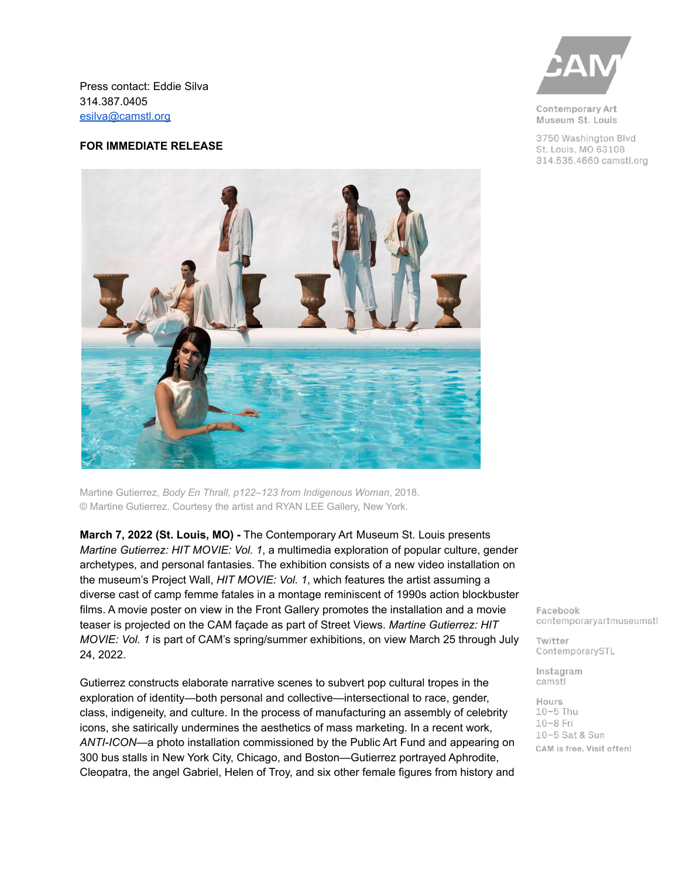Press contact: Eddie Silva 314.387.0405 [esilva@camstl.org](mailto:esilva@camstl.org)

#### **FOR IMMEDIATE RELEASE**



Martine Gutierrez, *Body En Thrall, p122–123 from Indigenous Woman*, 2018. © Martine Gutierrez. Courtesy the artist and RYAN LEE Gallery, New York.

**March 7, 2022 (St. Louis, MO) -** The Contemporary Art Museum St. Louis presents *Martine Gutierrez: HIT MOVIE: Vol. 1*, a multimedia exploration of popular culture, gender archetypes, and personal fantasies. The exhibition consists of a new video installation on the museum's Project Wall, *HIT MOVIE: Vol. 1*, which features the artist assuming a diverse cast of camp femme fatales in a montage reminiscent of 1990s action blockbuster films. A movie poster on view in the Front Gallery promotes the installation and a movie teaser is projected on the CAM façade as part of Street Views. *Martine Gutierrez: HIT MOVIE: Vol. 1* is part of CAM's spring/summer exhibitions, on view March 25 through July 24, 2022.

Gutierrez constructs elaborate narrative scenes to subvert pop cultural tropes in the exploration of identity—both personal and collective—intersectional to race, gender, class, indigeneity, and culture. In the process of manufacturing an assembly of celebrity icons, she satirically undermines the aesthetics of mass marketing. In a recent work, *ANTI-ICON*—a photo installation commissioned by the Public Art Fund and appearing on 300 bus stalls in New York City, Chicago, and Boston—Gutierrez portrayed Aphrodite, Cleopatra, the angel Gabriel, Helen of Troy, and six other female figures from history and



Contemporary Art Museum St. Louis

3750 Washington Blvd St. Louis, MO 63108 314.535.4660 camstl.org

Facebook contemporaryartmuseumstl

Twitter ContemporarySTL

Instagram camstl

Hours  $10-5$  Thu  $10-8$  Fri 10-5 Sat & Sun CAM is free. Visit often!